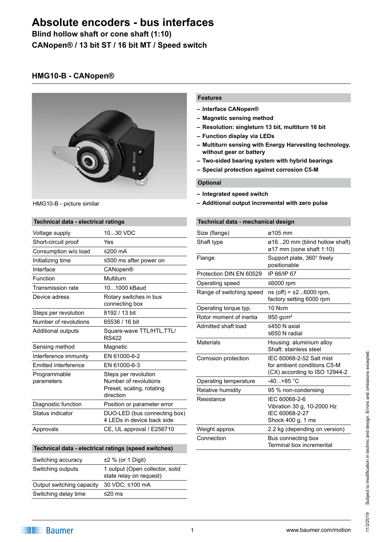**Blind hollow shaft or cone shaft (1:10) CANopen® / 13 bit ST / 16 bit MT / Speed switch**

## **HMG10-B - CANopen®**



HMG10-B - picture similar

### **Technical data - electrical ratings**

| 1030 VDC                                                                                |
|-----------------------------------------------------------------------------------------|
| Yes                                                                                     |
| ≤200 $mA$                                                                               |
| ≤500 ms after power on                                                                  |
| CANopen®                                                                                |
| Multiturn                                                                               |
| 101000 kBaud                                                                            |
| Rotary switches in bus<br>connecting box                                                |
| 8192 / 13 bit                                                                           |
| 65536 / 16 bit                                                                          |
| Square-wave TTL/HTL, TTL/<br><b>RS422</b>                                               |
| Magnetic                                                                                |
| EN 61000-6-2                                                                            |
| EN 61000-6-3                                                                            |
| Steps per revolution<br>Number of revolutions<br>Preset, scaling, rotating<br>direction |
| Position or parameter error                                                             |
| DUO-LED (bus connecting box)<br>4 LEDs in device back side                              |
| CE, UL approval / E256710                                                               |
|                                                                                         |

#### **Technical data - electrical ratings (speed switches)**

| Switching accuracy        | $±2$ % (or 1 Digit)                                        |
|---------------------------|------------------------------------------------------------|
| Switching outputs         | 1 output (Open collector, solid<br>state relay on request) |
| Output switching capacity | 30 VDC; ≤100 mA                                            |
| Switching delay time      | $≤20$ ms                                                   |

#### **Features**

- **– Interface CANopen®**
- **– Magnetic sensing method**
- **– Resolution: singleturn 13 bit, multiturn 16 bit**
- **– Function display via LEDs**
- **– Multiturn sensing with Energy Harvesting technology, without gear or battery**
- **– Two-sided bearing system with hybrid bearings**
- **– Special protection against corrosion C5-M**

#### **Optional**

- **– Integrated speed switch**
- **– Additional output incremental with zero pulse**

#### **Technical data - mechanical design**

| Size (flange)            | ø105 mm                                                                                  |
|--------------------------|------------------------------------------------------------------------------------------|
| Shaft type               | ø1620 mm (blind hollow shaft)<br>ø17 mm (cone shaft 1:10)                                |
| Flange                   | Support plate, 360° freely<br>positionable                                               |
| Protection DIN EN 60529  | IP 66/IP 67                                                                              |
| Operating speed          | ≤6000 rpm                                                                                |
| Range of switching speed | $ns(off) = ±26000$ rpm,<br>factory setting 6000 rpm                                      |
| Operating torque typ.    | 10 Ncm                                                                                   |
| Rotor moment of inertia  | 950 gcm <sup>2</sup>                                                                     |
| Admitted shaft load      | ≤450 N axial<br>≤650 N radial                                                            |
| <b>Materials</b>         | Housing: aluminium alloy<br>Shaft: stainless steel                                       |
| Corrosion protection     | IEC 60068-2-52 Salt mist<br>for ambient conditions C5-M<br>(CX) according to ISO 12944-2 |
| Operating temperature    | $-40+85$ °C                                                                              |
| Relative humidity        | 95 % non-condensing                                                                      |
| Resistance               | IEC 60068-2-6<br>Vibration 30 g, 10-2000 Hz<br>IEC 60068-2-27<br>Shock 400 g, 1 ms       |
| Weight approx.           | 2.2 kg (depending on version)                                                            |
| Connection               | Bus connecting box<br>Terminal box incremental                                           |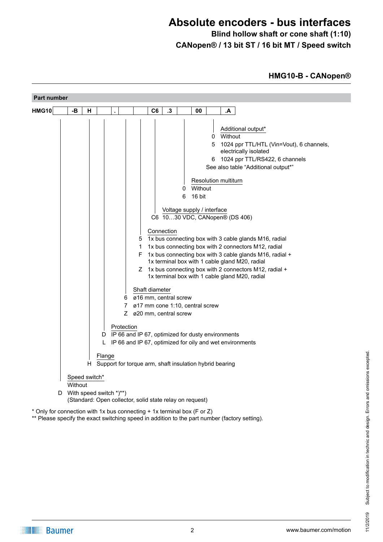**Blind hollow shaft or cone shaft (1:10) CANopen® / 13 bit ST / 16 bit MT / Speed switch**

## **HMG10-B - CANopen®**

| <b>Part number</b> |         |               |                                                                                     |                                     |                                                                          |                                                                                                                                                                                                                                                    |                                                                                                                                                                                                                                                                                                                                                                                                                                                                                                                                                                                                                   |
|--------------------|---------|---------------|-------------------------------------------------------------------------------------|-------------------------------------|--------------------------------------------------------------------------|----------------------------------------------------------------------------------------------------------------------------------------------------------------------------------------------------------------------------------------------------|-------------------------------------------------------------------------------------------------------------------------------------------------------------------------------------------------------------------------------------------------------------------------------------------------------------------------------------------------------------------------------------------------------------------------------------------------------------------------------------------------------------------------------------------------------------------------------------------------------------------|
| <b>HMG10</b>       | -В      | н             |                                                                                     | C6                                  | .3                                                                       | 00                                                                                                                                                                                                                                                 | .А                                                                                                                                                                                                                                                                                                                                                                                                                                                                                                                                                                                                                |
|                    |         |               | 6.<br>7<br>Protection<br>D<br>L<br>Flange                                           | 5<br>1<br>F.<br>Ζ<br>Shaft diameter | 0<br>6<br>Connection<br>ø16 mm, central screw<br>Z ø20 mm, central screw | 0<br>5<br>6<br><b>Resolution multiturn</b><br>Without<br>16 bit<br>Voltage supply / interface<br>ø17 mm cone 1:10, central screw<br>IP 66 and IP 67, optimized for dusty environments<br>H Support for torque arm, shaft insulation hybrid bearing | Additional output*<br>Without<br>1024 ppr TTL/HTL (Vin=Vout), 6 channels,<br>electrically isolated<br>1024 ppr TTL/RS422, 6 channels<br>See also table "Additional output*"<br>C6 1030 VDC, CANopen® (DS 406)<br>1x bus connecting box with 3 cable glands M16, radial<br>1x bus connecting box with 2 connectors M12, radial<br>1x bus connecting box with 3 cable glands M16, radial +<br>1x terminal box with 1 cable gland M20, radial<br>1x bus connecting box with 2 connectors M12, radial +<br>1x terminal box with 1 cable gland M20, radial<br>IP 66 and IP 67, optimized for oily and wet environments |
|                    | Without | Speed switch* |                                                                                     |                                     |                                                                          |                                                                                                                                                                                                                                                    |                                                                                                                                                                                                                                                                                                                                                                                                                                                                                                                                                                                                                   |
| D                  |         |               | With speed switch *)**)<br>(Standard: Open collector, solid state relay on request) |                                     |                                                                          |                                                                                                                                                                                                                                                    |                                                                                                                                                                                                                                                                                                                                                                                                                                                                                                                                                                                                                   |
|                    |         |               | * Only for connection with 1x bus connecting + 1x terminal box (F or Z)             |                                     |                                                                          |                                                                                                                                                                                                                                                    |                                                                                                                                                                                                                                                                                                                                                                                                                                                                                                                                                                                                                   |

\*\* Please specify the exact switching speed in addition to the part number (factory setting).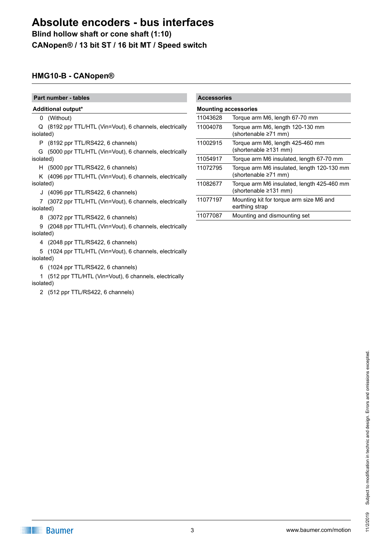**Blind hollow shaft or cone shaft (1:10) CANopen® / 13 bit ST / 16 bit MT / Speed switch**

## **HMG10-B - CANopen®**

**Part number - tables** 

- **Additional output\***
	- 0 (Without)

Q (8192 ppr TTL/HTL (Vin=Vout), 6 channels, electrically isolated)

P (8192 ppr TTL/RS422, 6 channels)

G (5000 ppr TTL/HTL (Vin=Vout), 6 channels, electrically isolated)

H (5000 ppr TTL/RS422, 6 channels)

K (4096 ppr TTL/HTL (Vin=Vout), 6 channels, electrically isolated)

J (4096 ppr TTL/RS422, 6 channels)

7 (3072 ppr TTL/HTL (Vin=Vout), 6 channels, electrically isolated)

8 (3072 ppr TTL/RS422, 6 channels)

9 (2048 ppr TTL/HTL (Vin=Vout), 6 channels, electrically isolated)

4 (2048 ppr TTL/RS422, 6 channels)

5 (1024 ppr TTL/HTL (Vin=Vout), 6 channels, electrically isolated)

6 (1024 ppr TTL/RS422, 6 channels)

1 (512 ppr TTL/HTL (Vin=Vout), 6 channels, electrically isolated)

2 (512 ppr TTL/RS422, 6 channels)

| <b>Accessories</b> |                                                                           |
|--------------------|---------------------------------------------------------------------------|
|                    | <b>Mounting accessories</b>                                               |
| 11043628           | Torque arm M6, length 67-70 mm                                            |
| 11004078           | Torque arm M6, length 120-130 mm<br>(shortenable ≥71 mm)                  |
| 11002915           | Torque arm M6, length 425-460 mm<br>(shortenable ≥131 mm)                 |
| 11054917           | Torque arm M6 insulated, length 67-70 mm                                  |
| 11072795           | Torque arm M6 insulated, length 120-130 mm<br>(shortenable ≥71 mm)        |
| 11082677           | Torque arm M6 insulated, length 425-460 mm<br>(shortenable $\geq$ 131 mm) |
| 11077197           | Mounting kit for torque arm size M6 and<br>earthing strap                 |
| 11077087           | Mounting and dismounting set                                              |

**THE Baumer**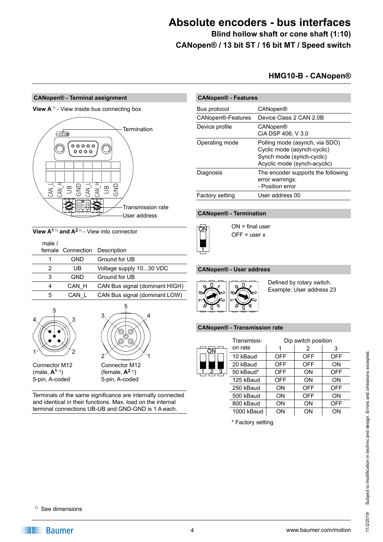**Blind hollow shaft or cone shaft (1:10) CANopen® / 13 bit ST / 16 bit MT / Speed switch**

## **HMG10-B - CANopen®**

#### **CANopen® - Terminal assignment**

**View A**<sup>1)</sup> - View inside bus connecting box



**View A1** 1) **and A2** 1) - View into connector

| male $/$ |                   |                                |
|----------|-------------------|--------------------------------|
|          | female Connection | Description                    |
|          | GND               | Ground for UB                  |
| 2        | UB                | Voltage supply 1030 VDC        |
| 3        | GND               | Ground for UB                  |
| 4        | CAN H             | CAN Bus signal (dominant HIGH) |
| 5        | CAN L             | CAN Bus signal (dominant LOW)  |
|          |                   |                                |



5-pin, A-coded 5-pin, A-coded



Terminals of the same significance are internally connected and identical in their functions. Max. load on the internal terminal connections UB-UB and GND-GND is 1 A each.

| <b>CANopen® - Features</b> |                                                                                                                            |  |  |  |
|----------------------------|----------------------------------------------------------------------------------------------------------------------------|--|--|--|
| Bus protocol               | CANopen®                                                                                                                   |  |  |  |
| CANopen®-Features          | Device Class 2 CAN 2.0B                                                                                                    |  |  |  |
| Device profile             | CANopen®<br>CIA DSP 406, V 3.0                                                                                             |  |  |  |
| Operating mode             | Polling mode (asynch, via SDO)<br>Cyclic mode (asynch-cyclic)<br>Synch mode (synch-cyclic)<br>Acyclic mode (synch-acyclic) |  |  |  |
| Diagnosis                  | The encoder supports the following<br>error warnings:<br>- Position error                                                  |  |  |  |
| <b>Factory setting</b>     | User address 00                                                                                                            |  |  |  |

### **CANopen® - Termination**



ON = final user  $OFF = user x$ 

### **CANopen® - User address**



Defined by rotary switch. Example: User address 23

#### **CANopen® - Transmission rate**

|        | Transmissi- |            | Dip switch position |            |
|--------|-------------|------------|---------------------|------------|
| ŌΝ     | on rate     |            | 2                   | 3          |
|        | 10 kBaud    | <b>OFF</b> | <b>OFF</b>          | <b>OFF</b> |
|        | 20 kBaud    | <b>OFF</b> | <b>OFF</b>          | ON         |
| 3<br>2 | 50 kBaud*   | <b>OFF</b> | ON                  | <b>OFF</b> |
|        | 125 kBaud   | <b>OFF</b> | ON                  | ON         |
|        | 250 kBaud   | ON         | <b>OFF</b>          | <b>OFF</b> |
|        | 500 kBaud   | ON         | <b>OFF</b>          | ON         |
|        | 800 kBaud   | ON         | ON                  | OFF        |
|        | 1000 kBaud  | ΟN         | ΟN                  | ON         |
|        |             |            |                     |            |

\* Factory setting

1) See dimensions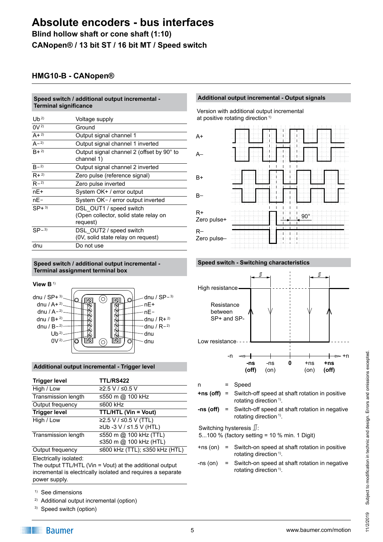**Blind hollow shaft or cone shaft (1:10) CANopen® / 13 bit ST / 16 bit MT / Speed switch**

## **HMG10-B - CANopen®**

**Speed switch / additional output incremental -** 

| Speed switch / additional output incremental -<br><b>Terminal significance</b> |                                                         |  |  |
|--------------------------------------------------------------------------------|---------------------------------------------------------|--|--|
| $Ub^{2}$                                                                       | Voltage supply                                          |  |  |
| $0V^{2}$                                                                       | Ground                                                  |  |  |
| $A + 2$                                                                        | Output signal channel 1                                 |  |  |
| $A - 2$                                                                        | Output signal channel 1 inverted                        |  |  |
| $R + 2$                                                                        | Output signal channel 2 (offset by 90° to<br>channel 1) |  |  |
| $B - 2$                                                                        | Output signal channel 2 inverted                        |  |  |
| $R + 2$                                                                        | Zero pulse (reference signal)                           |  |  |
| $R - 2$                                                                        | Zero pulse inverted                                     |  |  |
| $nE+$                                                                          | System OK+ / error output                               |  |  |
| $nE-$                                                                          | System OK- / error output inverted                      |  |  |
| $SP+3$                                                                         | DSL OUT1 / speed switch                                 |  |  |
|                                                                                | (Open collector, solid state relay on                   |  |  |
|                                                                                | request)                                                |  |  |
| $SP-3$                                                                         | DSL OUT2 / speed switch                                 |  |  |
|                                                                                | (0V, solid state relay on request)                      |  |  |
| dnu                                                                            | Do not use                                              |  |  |

#### **Speed switch / additional output incremental - Terminal assignment terminal box**





### **Additional output incremental - Trigger level**

| <b>Trigger level</b>   | <b>TTL/RS422</b>               |
|------------------------|--------------------------------|
| High / Low             | ≥2.5 V / ≤0.5 V                |
| Transmission length    | ≤550 m @ 100 kHz               |
| Output frequency       | ≤600 kHz                       |
| <b>Trigger level</b>   | <b>TTL/HTL (Vin = Vout)</b>    |
| High / Low             | ≥2.5 V / ≤0.5 V (TTL)          |
|                        | ≥Ub -3 V / ≤1.5 V (HTL)        |
| Transmission length    | ≤550 m @ 100 kHz (TTL)         |
|                        | ≤350 m @ 100 kHz (HTL)         |
| Output frequency       | ≤600 kHz (TTL); ≤350 kHz (HTL) |
| モリティ オファーリー せいしょうせい オー |                                |

Electrically isolated:

The output TTL/HTL (Vin = Vout) at the additional output incremental is electrically isolated and requires a separate power supply.

- 1) See dimensions
- 2) Additional output incremental (option)
- 3) Speed switch (option)

### **Additional output incremental - Output signals**







n = Speed

- **+ns (off)** = Switch-off speed at shaft rotation in positive rotating direction<sup>1)</sup>.
- **-ns (off)** = Switch-off speed at shaft rotation in negative rotating direction<sup>1)</sup>.

Switching hysteresis  $\mathbb{J}$ :

5...100 % (factory setting = 10 % min. 1 Digit)

- +ns (on) = Switch-on speed at shaft rotation in positive rotating direction<sup>1)</sup>.
- -ns (on) = Switch-on speed at shaft rotation in negative rotating direction<sup>1)</sup>.